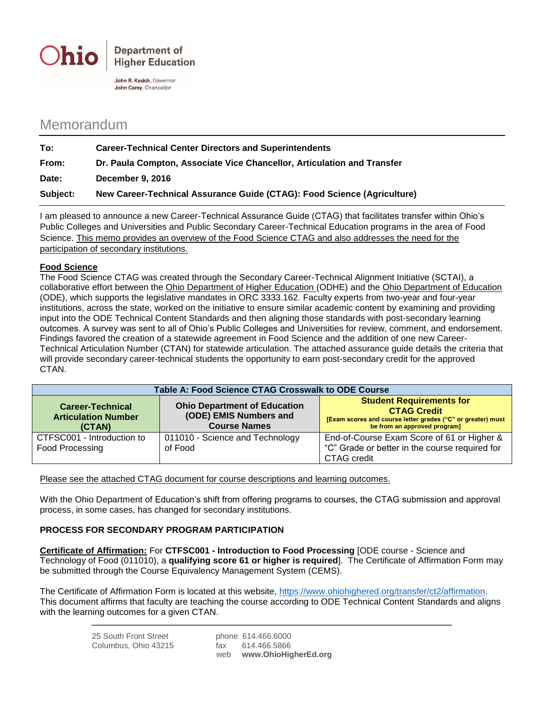

**Department of Higher Education** 

John R. Kasich, Governor John Carev. Chancellor

## Memorandum

| To:      | <b>Career-Technical Center Directors and Superintendents</b>            |  |
|----------|-------------------------------------------------------------------------|--|
| From:    | Dr. Paula Compton, Associate Vice Chancellor, Articulation and Transfer |  |
| Date:    | <b>December 9, 2016</b>                                                 |  |
| Subject: | New Career-Technical Assurance Guide (CTAG): Food Science (Agriculture) |  |

I am pleased to announce a new Career-Technical Assurance Guide (CTAG) that facilitates transfer within Ohio's Public Colleges and Universities and Public Secondary Career-Technical Education programs in the area of Food Science. This memo provides an overview of the Food Science CTAG and also addresses the need for the participation of secondary institutions.

## **Food Science**

The Food Science CTAG was created through the Secondary Career-Technical Alignment Initiative (SCTAI), a collaborative effort between the Ohio Department of Higher Education (ODHE) and the Ohio Department of Education (ODE), which supports the legislative mandates in ORC 3333.162. Faculty experts from two-year and four-year institutions, across the state, worked on the initiative to ensure similar academic content by examining and providing input into the ODE Technical Content Standards and then aligning those standards with post-secondary learning outcomes. A survey was sent to all of Ohio's Public Colleges and Universities for review, comment, and endorsement. Findings favored the creation of a statewide agreement in Food Science and the addition of one new Career-Technical Articulation Number (CTAN) for statewide articulation. The attached assurance guide details the criteria that will provide secondary career-technical students the opportunity to earn post-secondary credit for the approved CTAN.

| Table A: Food Science CTAG Crosswalk to ODE Course              |                                                                                      |                                                                                                                                                      |  |  |  |
|-----------------------------------------------------------------|--------------------------------------------------------------------------------------|------------------------------------------------------------------------------------------------------------------------------------------------------|--|--|--|
| <b>Career-Technical</b><br><b>Articulation Number</b><br>(CTAN) | <b>Ohio Department of Education</b><br>(ODE) EMIS Numbers and<br><b>Course Names</b> | <b>Student Requirements for</b><br><b>CTAG Credit</b><br>[Exam scores and course letter grades ("C" or greater) must<br>be from an approved program] |  |  |  |
| CTFSC001 - Introduction to<br>Food Processing                   | 011010 - Science and Technology<br>of Food                                           | End-of-Course Exam Score of 61 or Higher &<br>"C" Grade or better in the course required for<br>CTAG credit                                          |  |  |  |

Please see the attached CTAG document for course descriptions and learning outcomes.

With the Ohio Department of Education's shift from offering programs to courses, the CTAG submission and approval process, in some cases, has changed for secondary institutions.

## **PROCESS FOR SECONDARY PROGRAM PARTICIPATION**

**Certificate of Affirmation:** For **CTFSC001 - Introduction to Food Processing** [ODE course - Science and Technology of Food (011010), a **qualifying score 61 or higher is required**]. The Certificate of Affirmation Form may be submitted through the Course Equivalency Management System (CEMS).

The Certificate of Affirmation Form is located at this website, [https://www.ohiohighered.org/transfer/ct2/affirmation.](https://www.ohiohighered.org/transfer/ct2/affirmation) This document affirms that faculty are teaching the course according to ODE Technical Content Standards and aligns with the learning outcomes for a given CTAN.

| 25 South Front Street |     | phone 614.466.6000   |
|-----------------------|-----|----------------------|
| Columbus, Ohio 43215  | fax | 614.466.5866         |
|                       | web | www.OhioHigherEd.org |